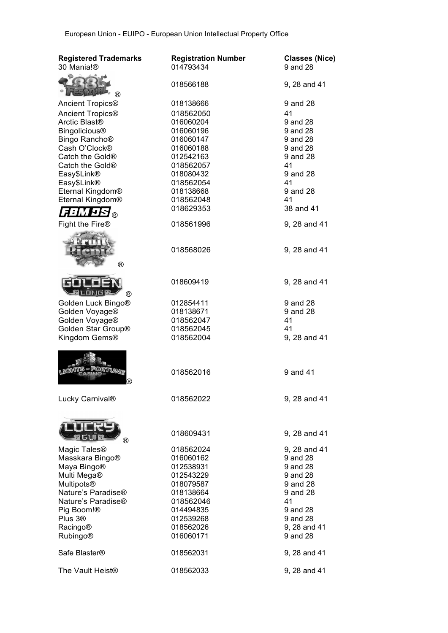| <b>Registered Trademarks</b><br>30 Mania!® | <b>Registration Number</b><br>014793434 | <b>Classes (Nice)</b><br>9 and 28 |
|--------------------------------------------|-----------------------------------------|-----------------------------------|
| ®                                          | 018566188                               | 9, 28 and 41                      |
| Ancient Tropics <sup>®</sup>               | 018138666                               | 9 and 28                          |
| Ancient Tropics <sup>®</sup>               | 018562050                               | 41                                |
| Arctic Blast <sup>®</sup>                  | 016060204                               | 9 and 28                          |
| <b>Bingolicious®</b>                       | 016060196                               | 9 and 28                          |
| Bingo Rancho <sup>®</sup>                  | 016060147                               | 9 and 28                          |
| Cash O'Clock®                              | 016060188                               | 9 and 28                          |
| Catch the Gold®                            | 012542163                               | 9 and 28                          |
| Catch the Gold <sup>®</sup>                | 018562057                               | 41                                |
| Easy\$Link®                                | 018080432                               | 9 and 28                          |
| Easy\$Link®                                | 018562054                               | 41                                |
| Eternal Kingdom®                           | 018138668                               | 9 and 28                          |
| Eternal Kingdom®                           | 018562048                               | 41                                |
|                                            | 018629353                               | 38 and 41                         |
| Lainti<br>ਮੁਲੇ ਭ                           |                                         |                                   |
| Fight the Fire®                            | 018561996                               | 9, 28 and 41                      |
| $^\circledR$                               | 018568026                               | 9, 28 and 41                      |
|                                            |                                         |                                   |
| <b>ONGE</b><br>(R)                         | 018609419                               | 9, 28 and 41                      |
| Golden Luck Bingo®                         | 012854411                               | 9 and 28                          |
| Golden Voyage®                             | 018138671                               | 9 and 28                          |
| Golden Voyage®                             | 018562047                               | 41                                |
| Golden Star Group®                         | 018562045                               | 41                                |
| Kingdom Gems®                              | 018562004                               | 9, 28 and 41                      |
|                                            | 018562016                               | 9 and 41                          |
| Lucky Carnival®                            | 018562022                               | 9, 28 and 41                      |
|                                            | 018609431                               | 9, 28 and 41                      |
| ®                                          |                                         |                                   |
| Magic Tales <sup>®</sup>                   | 018562024                               | 9, 28 and 41                      |
| Masskara Bingo®                            | 016060162                               | 9 and 28                          |
| Maya Bingo®                                | 012538931                               | 9 and 28                          |
| Multi Mega®                                | 012543229                               | 9 and 28                          |
| <b>Multipots®</b>                          | 018079587                               | 9 and 28                          |
| Nature's Paradise®                         | 018138664                               | 9 and 28                          |
| Nature's Paradise <sup>®</sup>             | 018562046                               | 41                                |
| Pig Boom!®                                 | 014494835                               | 9 and 28                          |
| Plus 3 <sup>®</sup>                        | 012539268                               | 9 and 28                          |
| <b>Racingo®</b>                            | 018562026                               | 9, 28 and 41                      |
| <b>Rubingo®</b>                            | 016060171                               | 9 and 28                          |
| Safe Blaster <sup>®</sup>                  | 018562031                               | 9, 28 and 41                      |
| The Vault Heist <sup>®</sup>               | 018562033                               | 9, 28 and 41                      |